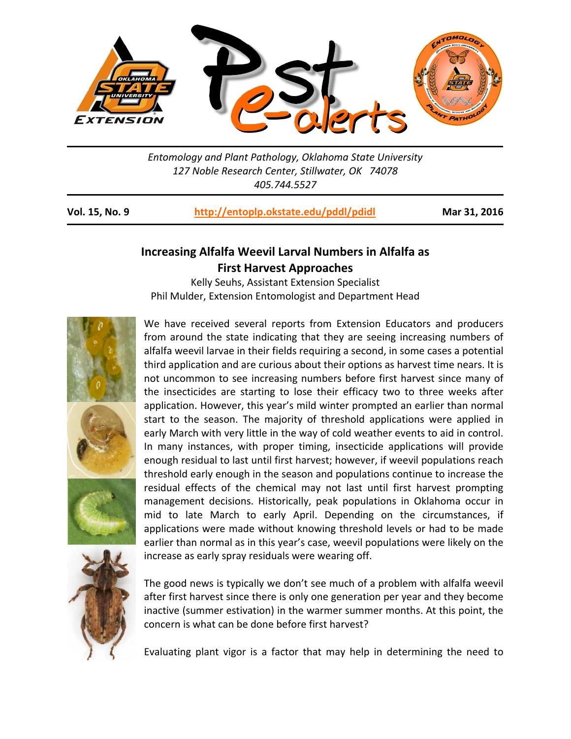

*Entomology and Plant Pathology, Oklahoma State University 127 Noble Research Center, Stillwater, OK 74078 405.744.5527* 

**Vol. 15, No. 9 http://entoplp.okstate.edu/pddl/pdidl Mar 31, 2016**

## **Increasing Alfalfa Weevil Larval Numbers in Alfalfa as First Harvest Approaches**

Kelly Seuhs, Assistant Extension Specialist Phil Mulder, Extension Entomologist and Department Head



We have received several reports from Extension Educators and producers from around the state indicating that they are seeing increasing numbers of alfalfa weevil larvae in their fields requiring a second, in some cases a potential third application and are curious about their options as harvest time nears. It is not uncommon to see increasing numbers before first harvest since many of the insecticides are starting to lose their efficacy two to three weeks after application. However, this year's mild winter prompted an earlier than normal start to the season. The majority of threshold applications were applied in early March with very little in the way of cold weather events to aid in control. In many instances, with proper timing, insecticide applications will provide enough residual to last until first harvest; however, if weevil populations reach threshold early enough in the season and populations continue to increase the residual effects of the chemical may not last until first harvest prompting management decisions. Historically, peak populations in Oklahoma occur in mid to late March to early April. Depending on the circumstances, if applications were made without knowing threshold levels or had to be made earlier than normal as in this year's case, weevil populations were likely on the increase as early spray residuals were wearing off.

The good news is typically we don't see much of a problem with alfalfa weevil after first harvest since there is only one generation per year and they become inactive (summer estivation) in the warmer summer months. At this point, the concern is what can be done before first harvest?

Evaluating plant vigor is a factor that may help in determining the need to